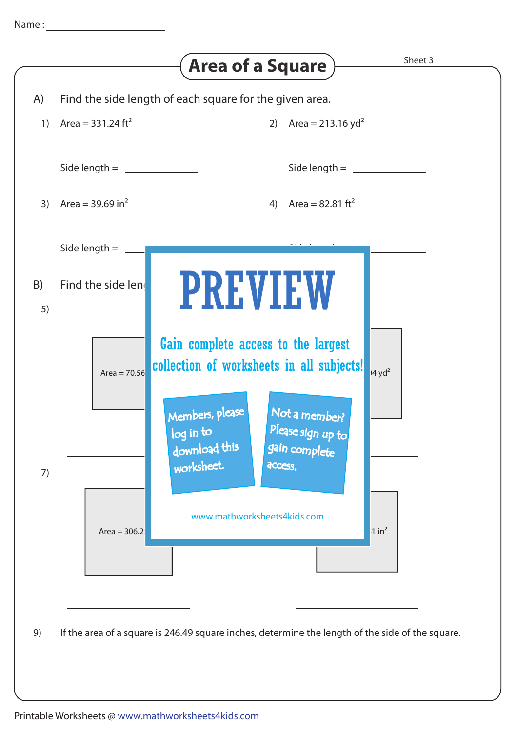